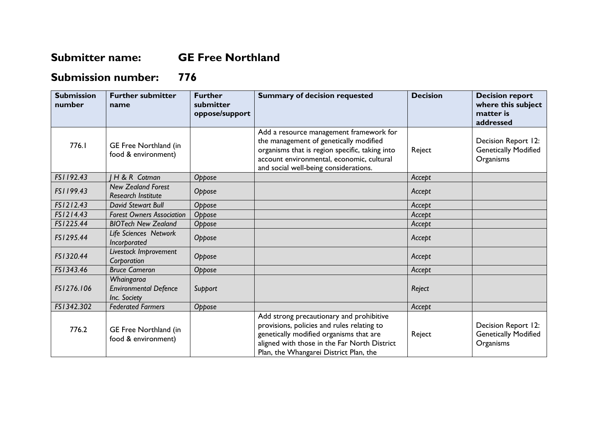## **Submitter name: GE Free Northland**

## **Submission number: 776**

| <b>Submission</b><br>number | <b>Further submitter</b><br>name                           | <b>Further</b><br>submitter<br>oppose/support | <b>Summary of decision requested</b>                                                                                                                                                                                        | <b>Decision</b> | <b>Decision report</b><br>where this subject<br>matter is<br>addressed |
|-----------------------------|------------------------------------------------------------|-----------------------------------------------|-----------------------------------------------------------------------------------------------------------------------------------------------------------------------------------------------------------------------------|-----------------|------------------------------------------------------------------------|
| 776.I                       | GE Free Northland (in<br>food & environment)               |                                               | Add a resource management framework for<br>the management of genetically modified<br>organisms that is region specific, taking into<br>account environmental, economic, cultural<br>and social well-being considerations.   | Reject          | Decision Report 12:<br><b>Genetically Modified</b><br>Organisms        |
| FS1192.43                   | H & R Cotman                                               | Oppose                                        |                                                                                                                                                                                                                             | Accept          |                                                                        |
| FS1199.43                   | <b>New Zealand Forest</b><br><b>Research Institute</b>     | Oppose                                        |                                                                                                                                                                                                                             | Accept          |                                                                        |
| FS1212.43                   | <b>David Stewart Bull</b>                                  | Oppose                                        |                                                                                                                                                                                                                             | Accept          |                                                                        |
| FS1214.43                   | <b>Forest Owners Association</b>                           | Oppose                                        |                                                                                                                                                                                                                             | Accept          |                                                                        |
| FS1225.44                   | <b>BIOTech New Zealand</b>                                 | Oppose                                        |                                                                                                                                                                                                                             | Accept          |                                                                        |
| FS1295.44                   | Life Sciences Network<br>Incorporated                      | Oppose                                        |                                                                                                                                                                                                                             | Accept          |                                                                        |
| FS1320.44                   | Livestock Improvement<br>Corporation                       | Oppose                                        |                                                                                                                                                                                                                             | Accept          |                                                                        |
| FS1343.46                   | <b>Bruce Cameron</b>                                       | Oppose                                        |                                                                                                                                                                                                                             | Accept          |                                                                        |
| FS1276.106                  | Whaingaroa<br><b>Environmental Defence</b><br>Inc. Society | Support                                       |                                                                                                                                                                                                                             | Reject          |                                                                        |
| FS1342.302                  | <b>Federated Farmers</b>                                   | Oppose                                        |                                                                                                                                                                                                                             | Accept          |                                                                        |
| 776.2                       | GE Free Northland (in<br>food & environment)               |                                               | Add strong precautionary and prohibitive<br>provisions, policies and rules relating to<br>genetically modified organisms that are<br>aligned with those in the Far North District<br>Plan, the Whangarei District Plan, the | Reject          | Decision Report 12:<br><b>Genetically Modified</b><br>Organisms        |